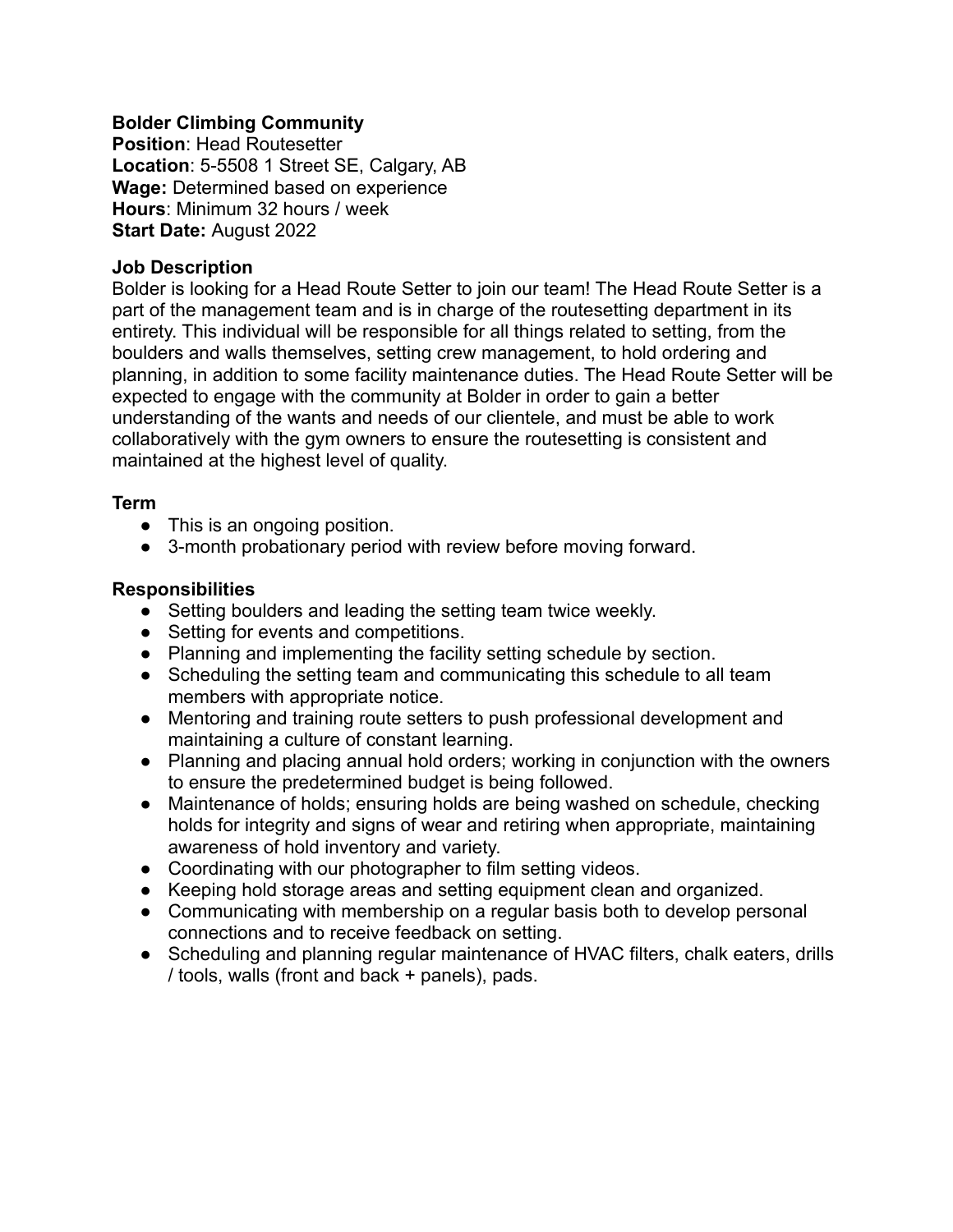### **Bolder Climbing Community**

**Position**: Head Routesetter **Location**: 5-5508 1 Street SE, Calgary, AB **Wage:** Determined based on experience **Hours**: Minimum 32 hours / week **Start Date:** August 2022

#### **Job Description**

Bolder is looking for a Head Route Setter to join our team! The Head Route Setter is a part of the management team and is in charge of the routesetting department in its entirety. This individual will be responsible for all things related to setting, from the boulders and walls themselves, setting crew management, to hold ordering and planning, in addition to some facility maintenance duties. The Head Route Setter will be expected to engage with the community at Bolder in order to gain a better understanding of the wants and needs of our clientele, and must be able to work collaboratively with the gym owners to ensure the routesetting is consistent and maintained at the highest level of quality.

### **Term**

- This is an ongoing position.
- 3-month probationary period with review before moving forward.

### **Responsibilities**

- Setting boulders and leading the setting team twice weekly.
- Setting for events and competitions.
- Planning and implementing the facility setting schedule by section.
- Scheduling the setting team and communicating this schedule to all team members with appropriate notice.
- Mentoring and training route setters to push professional development and maintaining a culture of constant learning.
- Planning and placing annual hold orders; working in conjunction with the owners to ensure the predetermined budget is being followed.
- Maintenance of holds; ensuring holds are being washed on schedule, checking holds for integrity and signs of wear and retiring when appropriate, maintaining awareness of hold inventory and variety.
- Coordinating with our photographer to film setting videos.
- Keeping hold storage areas and setting equipment clean and organized.
- Communicating with membership on a regular basis both to develop personal connections and to receive feedback on setting.
- Scheduling and planning regular maintenance of HVAC filters, chalk eaters, drills / tools, walls (front and back + panels), pads.